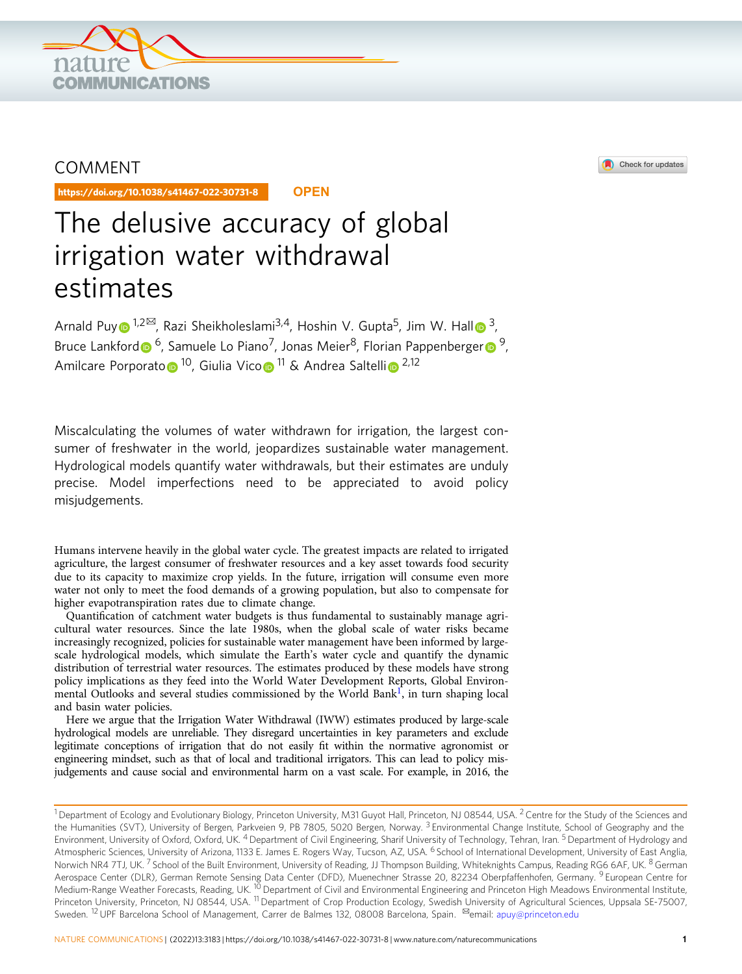

# COMMENT

https://doi.org/10.1038/s41467-022-30731-8 **OPEN**

# The delusive accuracy of global irrigation water withdrawal estimates

Arnald Pu[y](http://orcid.org/0000-0001-9469-2156)  $\frac{1}{2}$  $\frac{1}{2}$  $\frac{1}{2}$ <sup>[2 $\frac{1}{2}$ ], Razi Sheikho[l](http://orcid.org/0000-0002-2024-9191)eslami<sup>[3](http://orcid.org/0000-0002-2024-9191),4</sup>, Hoshin V. Gupta<sup>5</sup>, Jim W. Hall  $\frac{3}{2}$ ,</sup> Bruce Lankfor[d](http://orcid.org/0000-0001-5580-272X)  $\bullet$  <sup>6</sup>, Samuele Lo Piano<sup>7</sup>, Jonas Meie[r](http://orcid.org/0000-0003-1766-2898)<sup>8</sup>, Florian Pappenberger  $\bullet$  <sup>[9](http://orcid.org/0000-0003-1766-2898)</sup> Amilcare P[o](http://orcid.org/0000-0002-7849-2653)rporato <sup>[1](http://orcid.org/0000-0002-7849-2653)0</sup>, G[i](http://orcid.org/0000-0003-4222-6975)ulia Vico <sup>11</sup> & Andrea Saltelli <sup>[2](http://orcid.org/0000-0003-4222-6975),12</sup>

Miscalculating the volumes of water withdrawn for irrigation, the largest consumer of freshwater in the world, jeopardizes sustainable water management. Hydrological models quantify water withdrawals, but their estimates are unduly precise. Model imperfections need to be appreciated to avoid policy misjudgements.

Humans intervene heavily in the global water cycle. The greatest impacts are related to irrigated agriculture, the largest consumer of freshwater resources and a key asset towards food security due to its capacity to maximize crop yields. In the future, irrigation will consume even more water not only to meet the food demands of a growing population, but also to compensate for higher evapotranspiration rates due to climate change.

Quantification of catchment water budgets is thus fundamental to sustainably manage agricultural water resources. Since the late 1980s, when the global scale of water risks became increasingly recognized, policies for sustainable water management have been informed by largescale hydrological models, which simulate the Earth's water cycle and quantify the dynamic distribution of terrestrial water resources. The estimates produced by these models have strong policy implications as they feed into the World Water Development Reports, Global Environ-mental Outlooks and several studies commissioned by the World Bank<sup>[1](#page-3-0)</sup>, in turn shaping local and basin water policies.

Here we argue that the Irrigation Water Withdrawal (IWW) estimates produced by large-scale hydrological models are unreliable. They disregard uncertainties in key parameters and exclude legitimate conceptions of irrigation that do not easily fit within the normative agronomist or engineering mindset, such as that of local and traditional irrigators. This can lead to policy misjudgements and cause social and environmental harm on a vast scale. For example, in 2016, the



Check for updates

<sup>&</sup>lt;sup>1</sup> Department of Ecology and Evolutionary Biology, Princeton University, M31 Guyot Hall, Princeton, NJ 08544, USA. <sup>2</sup> Centre for the Study of the Sciences and the Humanities (SVT), University of Bergen, Parkveien 9, PB 7805, 5020 Bergen, Norway.<sup>3</sup> Environmental Change Institute, School of Geography and the Environment, University of Oxford, Oxford, UK. <sup>4</sup> Department of Civil Engineering, Sharif University of Technology, Tehran, Iran. <sup>5</sup> Department of Hydrology and Atmospheric Sciences, University of Arizona, 1133 E. James E. Rogers Way, Tucson, AZ, USA. <sup>6</sup> School of International Development, University of East Anglia, Norwich NR4 7TJ, UK.<sup>7</sup> School of the Built Environment, University of Reading, JJ Thompson Building, Whiteknights Campus, Reading RG6 6AF, UK.<sup>8</sup> German Aerospace Center (DLR), German Remote Sensing Data Center (DFD), Muenechner Strasse 20, 82234 Oberpfaffenhofen, Germany. <sup>9</sup> European Centre for Medium-Range Weather Forecasts, Reading, UK. <sup>10</sup> Department of Civil and Environmental Engineering and Princeton High Meadows Environmental Institute, Princeton University, Princeton, NJ 08544, USA. <sup>11</sup> Department of Crop Production Ecology, Swedish University of Agricultural Sciences, Uppsala SE-75007, Sweden. <sup>12</sup> UPF Barcelona School of Management, Carrer de Balmes 132, 08008 Barcelona, Spain. <sup>⊠</sup>email: [apuy@princeton.edu](mailto:apuy@princeton.edu)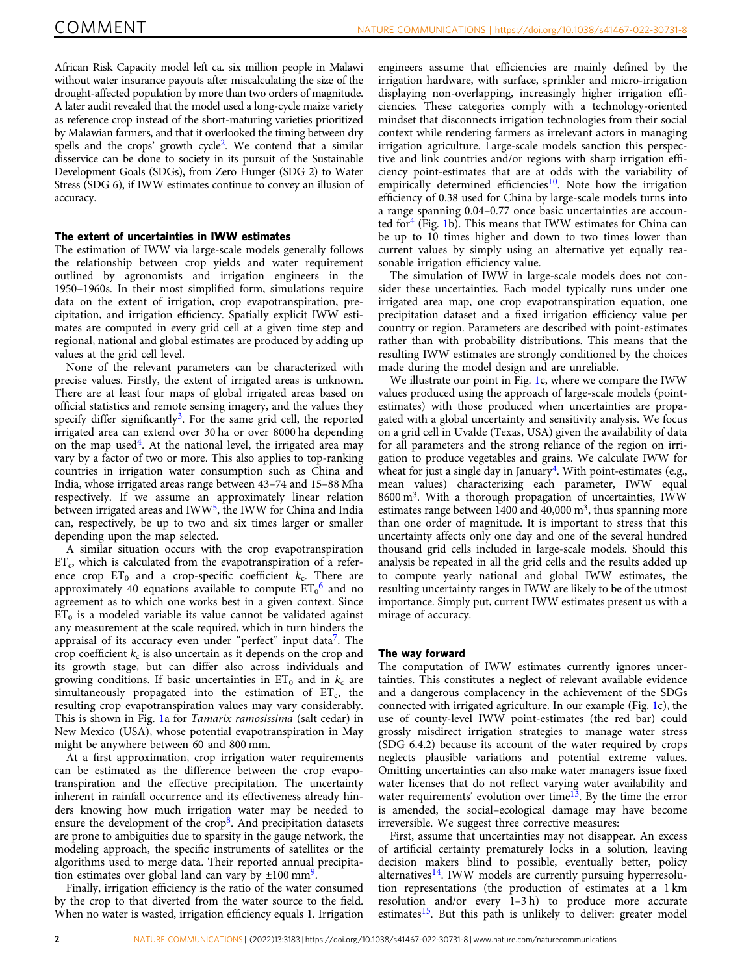African Risk Capacity model left ca. six million people in Malawi without water insurance payouts after miscalculating the size of the drought-affected population by more than two orders of magnitude. A later audit revealed that the model used a long-cycle maize variety as reference crop instead of the short-maturing varieties prioritized by Malawian farmers, and that it overlooked the timing between dry spells and the crops' growth cycle<sup>2</sup>. We contend that a similar disservice can be done to society in its pursuit of the Sustainable Development Goals (SDGs), from Zero Hunger (SDG 2) to Water Stress (SDG 6), if IWW estimates continue to convey an illusion of accuracy.

# The extent of uncertainties in IWW estimates

The estimation of IWW via large-scale models generally follows the relationship between crop yields and water requirement outlined by agronomists and irrigation engineers in the 1950–1960s. In their most simplified form, simulations require data on the extent of irrigation, crop evapotranspiration, precipitation, and irrigation efficiency. Spatially explicit IWW estimates are computed in every grid cell at a given time step and regional, national and global estimates are produced by adding up values at the grid cell level.

None of the relevant parameters can be characterized with precise values. Firstly, the extent of irrigated areas is unknown. There are at least four maps of global irrigated areas based on official statistics and remote sensing imagery, and the values they specify differ significantly<sup>[3](#page-3-0)</sup>. For the same grid cell, the reported irrigated area can extend over 30 ha or over 8000 ha depending on the map used<sup>4</sup>. At the national level, the irrigated area may vary by a factor of two or more. This also applies to top-ranking countries in irrigation water consumption such as China and India, whose irrigated areas range between 43–74 and 15–88 Mha respectively. If we assume an approximately linear relation between irrigated areas and IWW<sup>[5](#page-3-0)</sup>, the IWW for China and India can, respectively, be up to two and six times larger or smaller depending upon the map selected.

A similar situation occurs with the crop evapotranspiration  $ET_c$ , which is calculated from the evapotranspiration of a reference crop  $ET_0$  and a crop-specific coefficient  $k_c$ . There are approximately 40 equations available to compute  $\mathop{\mathrm{ET}_0}\nolimits^6$  $\mathop{\mathrm{ET}_0}\nolimits^6$  and no agreement as to which one works best in a given context. Since  $ET_0$  is a modeled variable its value cannot be validated against any measurement at the scale required, which in turn hinders the appraisal of its accuracy even under "perfect" input data<sup>7</sup>. The crop coefficient  $k_c$  is also uncertain as it depends on the crop and its growth stage, but can differ also across individuals and growing conditions. If basic uncertainties in  $ET_0$  and in  $k_c$  are simultaneously propagated into the estimation of  $ET_c$ , the resulting crop evapotranspiration values may vary considerably. This is shown in Fig. [1a](#page-2-0) for Tamarix ramosissima (salt cedar) in New Mexico (USA), whose potential evapotranspiration in May might be anywhere between 60 and 800 mm.

At a first approximation, crop irrigation water requirements can be estimated as the difference between the crop evapotranspiration and the effective precipitation. The uncertainty inherent in rainfall occurrence and its effectiveness already hinders knowing how much irrigation water may be needed to ensure the development of the crop<sup>[8](#page-3-0)</sup>. And precipitation datasets are prone to ambiguities due to sparsity in the gauge network, the modeling approach, the specific instruments of satellites or the algorithms used to merge data. Their reported annual precipitation estimates over global land can vary by  $\pm 100$  mm<sup>9</sup>.

Finally, irrigation efficiency is the ratio of the water consumed by the crop to that diverted from the water source to the field. When no water is wasted, irrigation efficiency equals 1. Irrigation engineers assume that efficiencies are mainly defined by the irrigation hardware, with surface, sprinkler and micro-irrigation displaying non-overlapping, increasingly higher irrigation efficiencies. These categories comply with a technology-oriented mindset that disconnects irrigation technologies from their social context while rendering farmers as irrelevant actors in managing irrigation agriculture. Large-scale models sanction this perspective and link countries and/or regions with sharp irrigation efficiency point-estimates that are at odds with the variability of empirically determined efficiencies<sup>[10](#page-3-0)</sup>. Note how the irrigation efficiency of 0.38 used for China by large-scale models turns into a range spanning 0.04–0.77 once basic uncertainties are accounted for $4$  (Fig. [1b](#page-2-0)). This means that IWW estimates for China can be up to 10 times higher and down to two times lower than current values by simply using an alternative yet equally reasonable irrigation efficiency value.

The simulation of IWW in large-scale models does not consider these uncertainties. Each model typically runs under one irrigated area map, one crop evapotranspiration equation, one precipitation dataset and a fixed irrigation efficiency value per country or region. Parameters are described with point-estimates rather than with probability distributions. This means that the resulting IWW estimates are strongly conditioned by the choices made during the model design and are unreliable.

We illustrate our point in Fig. [1c](#page-2-0), where we compare the IWW values produced using the approach of large-scale models (pointestimates) with those produced when uncertainties are propagated with a global uncertainty and sensitivity analysis. We focus on a grid cell in Uvalde (Texas, USA) given the availability of data for all parameters and the strong reliance of the region on irrigation to produce vegetables and grains. We calculate IWW for wheat for just a single day in January<sup>4</sup>. With point-estimates (e.g., mean values) characterizing each parameter, IWW equal  $8600 \text{ m}^3$ . With a thorough propagation of uncertainties, IWW estimates range between 1400 and  $40,000 \text{ m}^3$ , thus spanning more than one order of magnitude. It is important to stress that this uncertainty affects only one day and one of the several hundred thousand grid cells included in large-scale models. Should this analysis be repeated in all the grid cells and the results added up to compute yearly national and global IWW estimates, the resulting uncertainty ranges in IWW are likely to be of the utmost importance. Simply put, current IWW estimates present us with a mirage of accuracy.

# The way forward

The computation of IWW estimates currently ignores uncertainties. This constitutes a neglect of relevant available evidence and a dangerous complacency in the achievement of the SDGs connected with irrigated agriculture. In our example (Fig. [1](#page-2-0)c), the use of county-level IWW point-estimates (the red bar) could grossly misdirect irrigation strategies to manage water stress (SDG 6.4.2) because its account of the water required by crops neglects plausible variations and potential extreme values. Omitting uncertainties can also make water managers issue fixed water licenses that do not reflect varying water availability and water requirements' evolution over time<sup>13</sup>. By the time the error is amended, the social–ecological damage may have become irreversible. We suggest three corrective measures:

First, assume that uncertainties may not disappear. An excess of artificial certainty prematurely locks in a solution, leaving decision makers blind to possible, eventually better, policy alternatives<sup>14</sup>. IWW models are currently pursuing hyperresolution representations (the production of estimates at a 1 km resolution and/or every 1–3 h) to produce more accurate estimates<sup>15</sup>. But this path is unlikely to deliver: greater model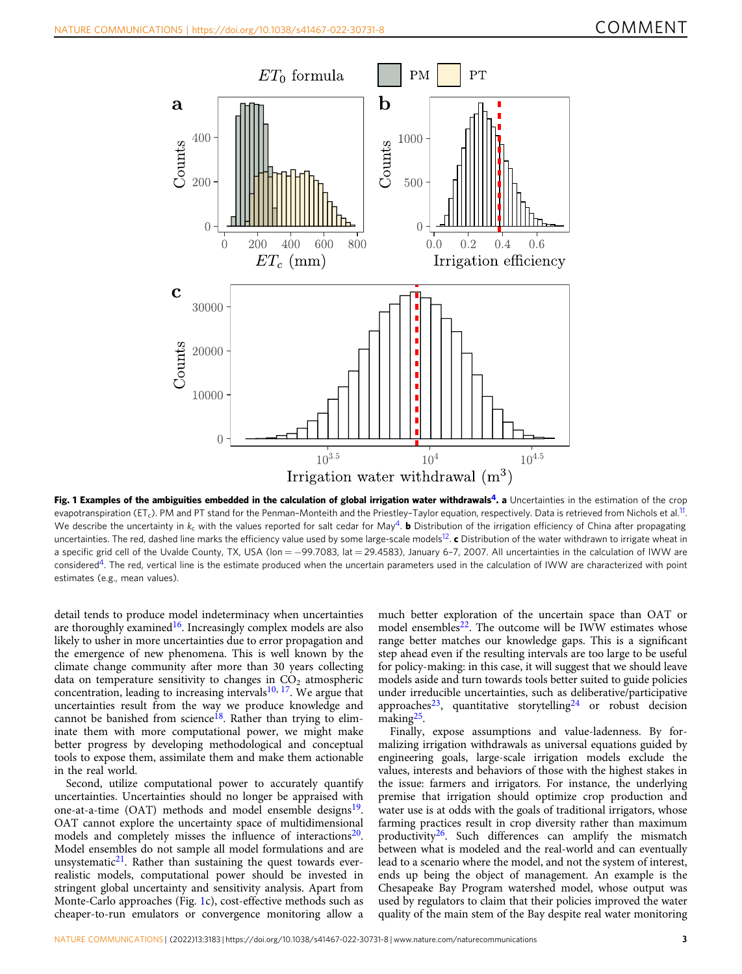<span id="page-2-0"></span>

Fig. 1 Examples of the ambiguities embedded in the calculation of global irrigation water withdrawals<sup>4</sup>. a Uncertainties in the estimation of the crop evapotranspiration (ET<sub>c</sub>). PM and PT stand for the Penman-Monteith and the Priestley-Taylor equation, respectively. Data is retrieved from Nichols et al.<sup>11</sup>. We describe the uncertainty in k<sub>c</sub> with the values reported for salt cedar for May<sup>4</sup>. **b** Distribution of the irrigation efficiency of China after propagating uncertainties. The red, dashed line marks the efficiency value used by some large-scale models<sup>12</sup>. c Distribution of the water withdrawn to irrigate wheat in a specific grid cell of the Uvalde County, TX, USA (lon = −99.7083, lat = 29.4583), January 6-7, 2007. All uncertainties in the calculation of IWW are considered<sup>[4](#page-3-0)</sup>. The red, vertical line is the estimate produced when the uncertain parameters used in the calculation of IWW are characterized with point estimates (e.g., mean values).

detail tends to produce model indeterminacy when uncertainties are thoroughly examined<sup>16</sup>. Increasingly complex models are also likely to usher in more uncertainties due to error propagation and the emergence of new phenomena. This is well known by the climate change community after more than 30 years collecting data on temperature sensitivity to changes in  $CO<sub>2</sub>$  atmospheric concentration, leading to increasing intervals<sup>10, 17</sup>. We argue that uncertainties result from the way we produce knowledge and cannot be banished from science<sup>[18](#page-3-0)</sup>. Rather than trying to eliminate them with more computational power, we might make better progress by developing methodological and conceptual tools to expose them, assimilate them and make them actionable in the real world.

Second, utilize computational power to accurately quantify uncertainties. Uncertainties should no longer be appraised with one-at-a-time (OAT) methods and model ensemble designs<sup>19</sup>. OAT cannot explore the uncertainty space of multidimensional models and completely misses the influence of interactions<sup>20</sup>. Model ensembles do not sample all model formulations and are unsystematic $21$ . Rather than sustaining the quest towards everrealistic models, computational power should be invested in stringent global uncertainty and sensitivity analysis. Apart from Monte-Carlo approaches (Fig. 1c), cost-effective methods such as cheaper-to-run emulators or convergence monitoring allow a

much better exploration of the uncertain space than OAT or model ensembles $22$ . The outcome will be IWW estimates whose range better matches our knowledge gaps. This is a significant step ahead even if the resulting intervals are too large to be useful for policy-making: in this case, it will suggest that we should leave models aside and turn towards tools better suited to guide policies under irreducible uncertainties, such as deliberative/participative approaches<sup>23</sup>, quantitative storytelling<sup>24</sup> or robust decision making<sup>[25](#page-3-0)</sup>.

Finally, expose assumptions and value-ladenness. By formalizing irrigation withdrawals as universal equations guided by engineering goals, large-scale irrigation models exclude the values, interests and behaviors of those with the highest stakes in the issue: farmers and irrigators. For instance, the underlying premise that irrigation should optimize crop production and water use is at odds with the goals of traditional irrigators, whose farming practices result in crop diversity rather than maximum productivity<sup>[26](#page-3-0)</sup>. Such differences can amplify the mismatch between what is modeled and the real-world and can eventually lead to a scenario where the model, and not the system of interest, ends up being the object of management. An example is the Chesapeake Bay Program watershed model, whose output was used by regulators to claim that their policies improved the water quality of the main stem of the Bay despite real water monitoring